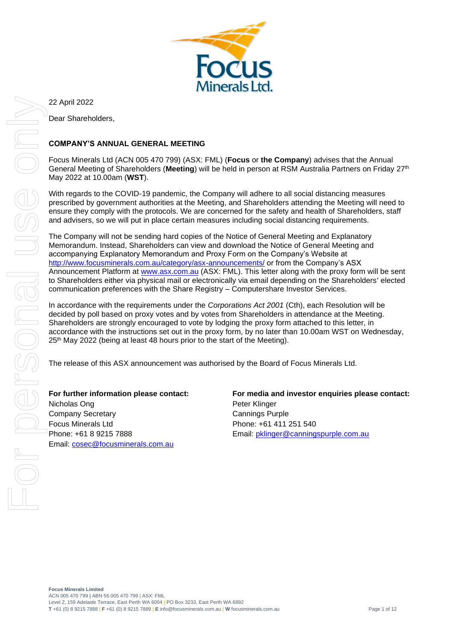

22 April 2022 Dear Shareholders,

#### **COMPANY'S ANNUAL GENERAL MEETING**

Focus Minerals Ltd (ACN 005 470 799) (ASX: FML) (**Focus** or **the Company**) advises that the Annual General Meeting of Shareholders (**Meeting**) will be held in person at RSM Australia Partners on Friday 27th May 2022 at 10.00am (**WST**).

With regards to the COVID-19 pandemic, the Company will adhere to all social distancing measures prescribed by government authorities at the Meeting, and Shareholders attending the Meeting will need to ensure they comply with the protocols. We are concerned for the safety and health of Shareholders, staff and advisers, so we will put in place certain measures including social distancing requirements.

The Company will not be sending hard copies of the Notice of General Meeting and Explanatory Memorandum. Instead, Shareholders can view and download the Notice of General Meeting and accompanying Explanatory Memorandum and Proxy Form on the Company's Website at <http://www.focusminerals.com.au/category/asx-announcements/> or from the Company's ASX Announcement Platform at [www.asx.com.au](http://www.asx.com.au/) (ASX: FML). This letter along with the proxy form will be sent to Shareholders either via physical mail or electronically via email depending on the Shareholders' elected communication preferences with the Share Registry – Computershare Investor Services.

In accordance with the requirements under the *Corporations Act 2001* (Cth), each Resolution will be decided by poll based on proxy votes and by votes from Shareholders in attendance at the Meeting. Shareholders are strongly encouraged to vote by lodging the proxy form attached to this letter, in accordance with the instructions set out in the proxy form, by no later than 10.00am WST on Wednesday, 25<sup>th</sup> May 2022 (being at least 48 hours prior to the start of the Meeting).

The release of this ASX announcement was authorised by the Board of Focus Minerals Ltd.

**For further information please contact:** Nicholas Ong Company Secretary Focus Minerals Ltd Phone: +61 8 9215 7888 Email: [cosec@focusminerals.com.au](mailto:cosec@focusminerals.com.au)

**For media and investor enquiries please contact:** Peter Klinger Cannings Purple Phone: +61 411 251 540 Email: [pklinger@canningspurple.com.au](mailto:pklinger@canningspurple.com.au)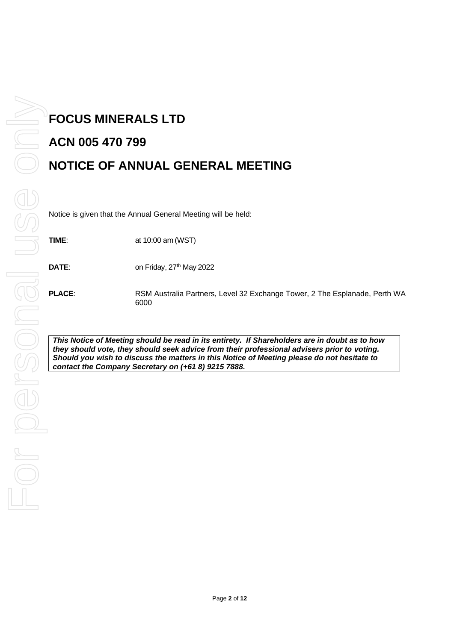# **FOCUS MINERALS LTD ACN 005 470 799 NOTICE OF ANNUAL GENERAL MEETING**

Notice is given that the Annual General Meeting will be held:

**TIME**: at 10:00 am (WST)

**DATE:** on Friday, 27<sup>th</sup> May 2022

**PLACE**: RSM Australia Partners, Level 32 Exchange Tower, 2 The Esplanade, Perth WA 6000

*This Notice of Meeting should be read in its entirety. If Shareholders are in doubt as to how they should vote, they should seek advice from their professional advisers prior to voting. Should you wish to discuss the matters in this Notice of Meeting please do not hesitate to contact the Company Secretary on (+61 8) 9215 7888.*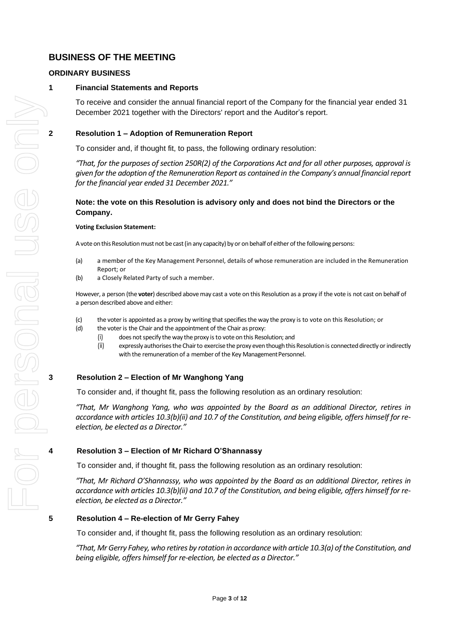## **BUSINESS OF THE MEETING**

#### **ORDINARY BUSINESS**

#### **1 Financial Statements and Reports**

To receive and consider the annual financial report of the Company for the financial year ended 31 December 2021 together with the Directors' report and the Auditor's report.

#### **2 Resolution 1 – Adoption of Remuneration Report**

To consider and, if thought fit, to pass, the following ordinary resolution:

*"That, for the purposes of section 250R(2) of the Corporations Act and for all other purposes, approval is given for the adoption of the Remuneration Report as contained in the Company's annual financial report for the financial year ended 31 December 2021."*

#### **Note: the vote on this Resolution is advisory only and does not bind the Directors or the Company.**

#### **Voting Exclusion Statement:**

A vote on this Resolution must not be cast (in any capacity) by or on behalf of either of the following persons:

- (a) a member of the Key Management Personnel, details of whose remuneration are included in the Remuneration Report; or
- (b) a Closely Related Party of such a member.

However, a person (the **voter**) described above may cast a vote on this Resolution as a proxy if the vote is not cast on behalf of a person described above and either:

- (c) the voter is appointed as a proxy by writing that specifies the way the proxy is to vote on this Resolution; or
- (d) the voter is the Chair and the appointment of the Chair as proxy:
	- (i) does not specify the way the proxy is to vote on this Resolution; and
	- (ii) expressly authorises the Chair to exercise the proxy even though this Resolution is connected directly or indirectly with the remuneration of a member of the Key Management Personnel.

#### **3 Resolution 2 – Election of Mr Wanghong Yang**

To consider and, if thought fit, pass the following resolution as an ordinary resolution:

*"That, Mr Wanghong Yang, who was appointed by the Board as an additional Director, retires in accordance with articles 10.3(b)(ii) and 10.7 of the Constitution, and being eligible, offers himself for reelection, be elected as a Director."* 

#### **4 Resolution 3 – Election of Mr Richard O'Shannassy**

To consider and, if thought fit, pass the following resolution as an ordinary resolution:

*"That, Mr Richard O'Shannassy, who was appointed by the Board as an additional Director, retires in accordance with articles 10.3(b)(ii) and 10.7 of the Constitution, and being eligible, offers himself for reelection, be elected as a Director."* 

#### **5 Resolution 4 – Re-election of Mr Gerry Fahey**

To consider and, if thought fit, pass the following resolution as an ordinary resolution:

*"That, Mr Gerry Fahey, who retires by rotation in accordance with article 10.3(a) of the Constitution, and being eligible, offers himself for re-election, be elected as a Director."*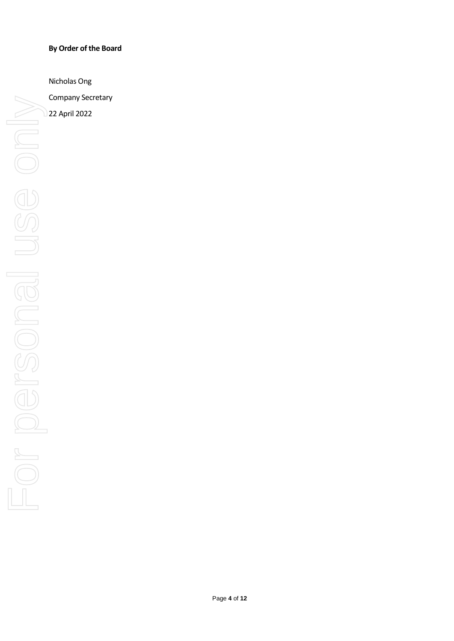#### **By Order of the Board**

Nicholas Ong

Company Secretary

22 April 2022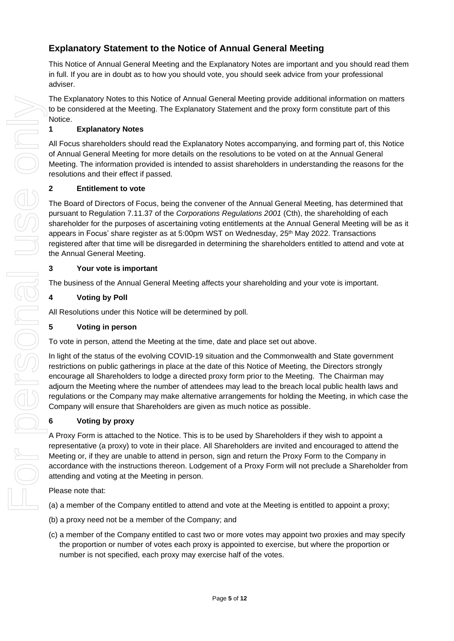# **Explanatory Statement to the Notice of Annual General Meeting**

This Notice of Annual General Meeting and the Explanatory Notes are important and you should read them in full. If you are in doubt as to how you should vote, you should seek advice from your professional adviser.

The Explanatory Notes to this Notice of Annual General Meeting provide additional information on matters to be considered at the Meeting. The Explanatory Statement and the proxy form constitute part of this Notice.

#### **1 Explanatory Notes**

All Focus shareholders should read the Explanatory Notes accompanying, and forming part of, this Notice of Annual General Meeting for more details on the resolutions to be voted on at the Annual General Meeting. The information provided is intended to assist shareholders in understanding the reasons for the resolutions and their effect if passed.

#### **2 Entitlement to vote**

The Board of Directors of Focus, being the convener of the Annual General Meeting, has determined that pursuant to Regulation 7.11.37 of the *Corporations Regulations 2001* (Cth), the shareholding of each shareholder for the purposes of ascertaining voting entitlements at the Annual General Meeting will be as it appears in Focus' share register as at 5:00pm WST on Wednesday, 25<sup>th</sup> May 2022. Transactions registered after that time will be disregarded in determining the shareholders entitled to attend and vote at the Annual General Meeting.

#### **3 Your vote is important**

The business of the Annual General Meeting affects your shareholding and your vote is important.

#### **4 Voting by Poll**

All Resolutions under this Notice will be determined by poll.

#### **5 Voting in person**

To vote in person, attend the Meeting at the time, date and place set out above.

In light of the status of the evolving COVID-19 situation and the Commonwealth and State government restrictions on public gatherings in place at the date of this Notice of Meeting, the Directors strongly encourage all Shareholders to lodge a directed proxy form prior to the Meeting. The Chairman may adjourn the Meeting where the number of attendees may lead to the breach local public health laws and regulations or the Company may make alternative arrangements for holding the Meeting, in which case the Company will ensure that Shareholders are given as much notice as possible.

#### **6 Voting by proxy**

A Proxy Form is attached to the Notice. This is to be used by Shareholders if they wish to appoint a representative (a proxy) to vote in their place. All Shareholders are invited and encouraged to attend the Meeting or, if they are unable to attend in person, sign and return the Proxy Form to the Company in accordance with the instructions thereon. Lodgement of a Proxy Form will not preclude a Shareholder from attending and voting at the Meeting in person.

Please note that:

(a) a member of the Company entitled to attend and vote at the Meeting is entitled to appoint a proxy;

- (b) a proxy need not be a member of the Company; and
- (c) a member of the Company entitled to cast two or more votes may appoint two proxies and may specify the proportion or number of votes each proxy is appointed to exercise, but where the proportion or number is not specified, each proxy may exercise half of the votes.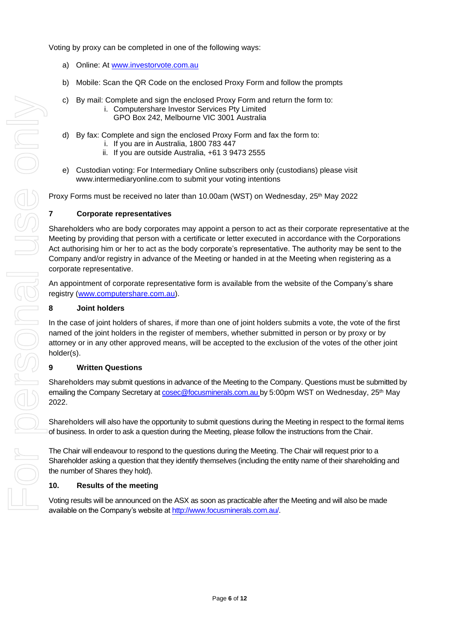- a) Online: At [www.investorvote.com.au](http://www.investorvote.com.au/)
- b) Mobile: Scan the QR Code on the enclosed Proxy Form and follow the prompts
- c) By mail: Complete and sign the enclosed Proxy Form and return the form to:
	- i. Computershare Investor Services Pty Limited
		- GPO Box 242, Melbourne VIC 3001 Australia
- d) By fax: Complete and sign the enclosed Proxy Form and fax the form to:
	- i. If you are in Australia, 1800 783 447
	- ii. If you are outside Australia, +61 3 9473 2555
- e) Custodian voting: For Intermediary Online subscribers only (custodians) please visit www.intermediaryonline.com to submit your voting intentions

Proxy Forms must be received no later than 10.00am (WST) on Wednesday, 25<sup>th</sup> May 2022

#### **7 Corporate representatives**

Shareholders who are body corporates may appoint a person to act as their corporate representative at the Meeting by providing that person with a certificate or letter executed in accordance with the Corporations Act authorising him or her to act as the body corporate's representative. The authority may be sent to the Company and/or registry in advance of the Meeting or handed in at the Meeting when registering as a corporate representative.

An appointment of corporate representative form is available from the website of the Company's share registry [\(www.computershare.com.au\)](http://www.computershare.com.au/).

#### **8 Joint holders**

In the case of joint holders of shares, if more than one of joint holders submits a vote, the vote of the first named of the joint holders in the register of members, whether submitted in person or by proxy or by attorney or in any other approved means, will be accepted to the exclusion of the votes of the other joint holder(s).

#### **9 Written Questions**

Shareholders may submit questions in advance of the Meeting to the Company. Questions must be submitted by emailing the Company Secretary at [cosec@focusminerals.com.au](mailto:cosec@focusminerals.com.au ) by 5:00pm WST on Wednesday, 25<sup>th</sup> May 2022.

Shareholders will also have the opportunity to submit questions during the Meeting in respect to the formal items of business. In order to ask a question during the Meeting, please follow the instructions from the Chair.

The Chair will endeavour to respond to the questions during the Meeting. The Chair will request prior to a Shareholder asking a question that they identify themselves (including the entity name of their shareholding and the number of Shares they hold).

#### **10. Results of the meeting**

Voting results will be announced on the ASX as soon as practicable after the Meeting and will also be made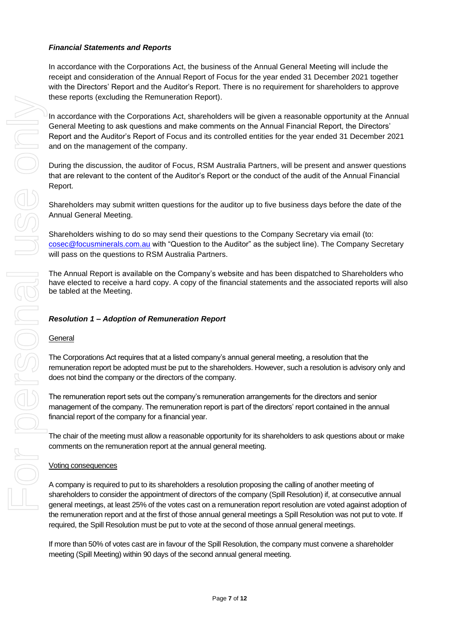#### *Financial Statements and Reports*

In accordance with the Corporations Act, the business of the Annual General Meeting will include the receipt and consideration of the Annual Report of Focus for the year ended 31 December 2021 together with the Directors' Report and the Auditor's Report. There is no requirement for shareholders to approve these reports (excluding the Remuneration Report).

In accordance with the Corporations Act, shareholders will be given a reasonable opportunity at the Annual General Meeting to ask questions and make comments on the Annual Financial Report, the Directors' Report and the Auditor's Report of Focus and its controlled entities for the year ended 31 December 2021 and on the management of the company.

During the discussion, the auditor of Focus, RSM Australia Partners, will be present and answer questions that are relevant to the content of the Auditor's Report or the conduct of the audit of the Annual Financial Report.

Shareholders may submit written questions for the auditor up to five business days before the date of the Annual General Meeting.

Shareholders wishing to do so may send their questions to the Company Secretary via email (to: [cosec@focusminerals.com.au](mailto:cosec@focusminerals.com.au) with "Question to the Auditor" as the subject line). The Company Secretary will pass on the questions to RSM Australia Partners.

The Annual Report is available on the Company's website and has been dispatched to Shareholders who have elected to receive a hard copy. A copy of the financial statements and the associated reports will also be tabled at the Meeting.

#### *Resolution 1 – Adoption of Remuneration Report*

#### **General**

The Corporations Act requires that at a listed company's annual general meeting, a resolution that the remuneration report be adopted must be put to the shareholders. However, such a resolution is advisory only and does not bind the company or the directors of the company.

The remuneration report sets out the company's remuneration arrangements for the directors and senior management of the company. The remuneration report is part of the directors' report contained in the annual financial report of the company for a financial year.

The chair of the meeting must allow a reasonable opportunity for its shareholders to ask questions about or make comments on the remuneration report at the annual general meeting.

#### Voting consequences

A company is required to put to its shareholders a resolution proposing the calling of another meeting of shareholders to consider the appointment of directors of the company (Spill Resolution) if, at consecutive annual general meetings, at least 25% of the votes cast on a remuneration report resolution are voted against adoption of the remuneration report and at the first of those annual general meetings a Spill Resolution was not put to vote. If required, the Spill Resolution must be put to vote at the second of those annual general meetings.

If more than 50% of votes cast are in favour of the Spill Resolution, the company must convene a shareholder meeting (Spill Meeting) within 90 days of the second annual general meeting.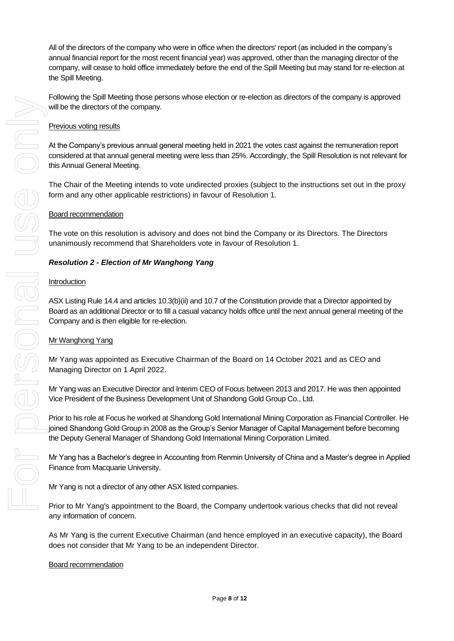All of the directors of the company who were in office when the directors' report (as included in the company's annual financial report for the most recent financial year) was approved, other than the managing director of the company, will cease to hold office immediately before the end of the Spill Meeting but may stand for re-election at the Spill Meeting.

Following the Spill Meeting those persons whose election or re-election as directors of the company is approved will be the directors of the company.

#### Previous voting results

At the Company's previous annual general meeting held in 2021 the votes cast against the remuneration report considered at that annual general meeting were less than 25%. Accordingly, the Spill Resolution is not relevant for this Annual General Meeting.

The Chair of the Meeting intends to vote undirected proxies (subject to the instructions set out in the proxy form and any other applicable restrictions) in favour of Resolution 1.

#### Board recommendation

The vote on this resolution is advisory and does not bind the Company or its Directors. The Directors unanimously recommend that Shareholders vote in favour of Resolution 1.

#### *Resolution 2 - Election of Mr Wanghong Yang*

#### Introduction

ASX Listing Rule 14.4 and articles 10.3(b)(ii) and 10.7 of the Constitution provide that a Director appointed by Board as an additional Director or to fill a casual vacancy holds office until the next annual general meeting of the Company and is then eligible for re-election.

#### Mr Wanghong Yang

Mr Yang was appointed as Executive Chairman of the Board on 14 October 2021 and as CEO and Managing Director on 1 April 2022.

Mr Yang was an Executive Director and Interim CEO of Focus between 2013 and 2017. He was then appointed Vice President of the Business Development Unit of Shandong Gold Group Co., Ltd.

Prior to his role at Focus he worked at Shandong Gold International Mining Corporation as Financial Controller. He joined Shandong Gold Group in 2008 as the Group's Senior Manager of Capital Management before becoming the Deputy General Manager of Shandong Gold International Mining Corporation Limited.

Mr Yang has a Bachelor's degree in Accounting from Renmin University of China and a Master's degree in Applied Finance from Macquarie University.

Mr Yang is not a director of any other ASX listed companies.

Prior to Mr Yang's appointment to the Board, the Company undertook various checks that did not reveal any information of concern.

As Mr Yang is the current Executive Chairman (and hence employed in an executive capacity), the Board does not consider that Mr Yang to be an independent Director.

#### Board recommendation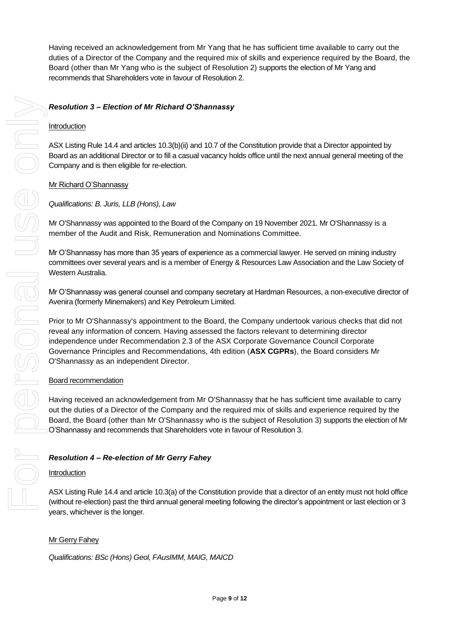Having received an acknowledgement from Mr Yang that he has sufficient time available to carry out the duties of a Director of the Company and the required mix of skills and experience required by the Board, the Board (other than Mr Yang who is the subject of Resolution 2) supports the election of Mr Yang and recommends that Shareholders vote in favour of Resolution 2.

#### *Resolution 3 – Election of Mr Richard O'Shannassy*

#### Introduction

ASX Listing Rule 14.4 and articles 10.3(b)(ii) and 10.7 of the Constitution provide that a Director appointed by Board as an additional Director or to fill a casual vacancy holds office until the next annual general meeting of the Company and is then eligible for re-election.

#### Mr Richard O'Shannassy

#### *Qualifications: B. Juris, LLB (Hons), Law*

Mr O'Shannassy was appointed to the Board of the Company on 19 November 2021. Mr O'Shannassy is a member of the Audit and Risk, Remuneration and Nominations Committee.

Mr O'Shannassy has more than 35 years of experience as a commercial lawyer. He served on mining industry committees over several years and is a member of Energy & Resources Law Association and the Law Society of Western Australia.

Mr O'Shannassy was general counsel and company secretary at Hardman Resources, a non-executive director of Avenira (formerly Minemakers) and Key Petroleum Limited.

Prior to Mr O'Shannassy's appointment to the Board, the Company undertook various checks that did not reveal any information of concern. Having assessed the factors relevant to determining director independence under Recommendation 2.3 of the ASX Corporate Governance Council Corporate Governance Principles and Recommendations, 4th edition (**ASX CGPRs**), the Board considers Mr O'Shannassy as an independent Director.

#### Board recommendation

Having received an acknowledgement from Mr O'Shannassy that he has sufficient time available to carry out the duties of a Director of the Company and the required mix of skills and experience required by the Board, the Board (other than Mr O'Shannassy who is the subject of Resolution 3) supports the election of Mr O'Shannassy and recommends that Shareholders vote in favour of Resolution 3.

#### *Resolution 4 – Re-election of Mr Gerry Fahey*

#### Introduction

ASX Listing Rule 14.4 and article 10.3(a) of the Constitution provide that a director of an entity must not hold office (without re-election) past the third annual general meeting following the director's appointment or last election or 3 years, whichever is the longer.

#### Mr Gerry Fahey

*Qualifications: BSc (Hons) Geol, FAusIMM, MAIG, MAICD*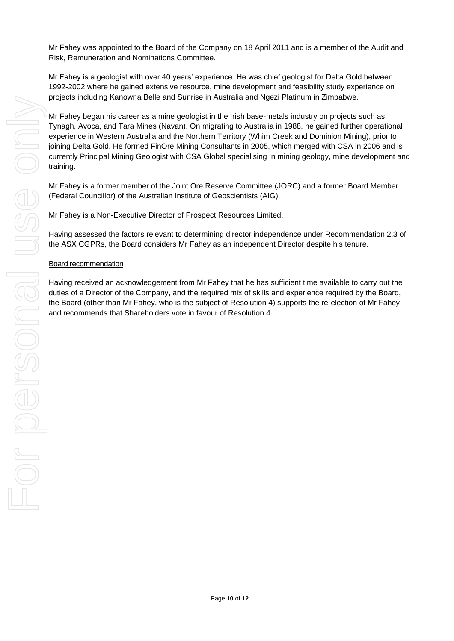Mr Fahey was appointed to the Board of the Company on 18 April 2011 and is a member of the Audit and Risk, Remuneration and Nominations Committee.

Mr Fahey is a geologist with over 40 years' experience. He was chief geologist for Delta Gold between 1992-2002 where he gained extensive resource, mine development and feasibility study experience on projects including Kanowna Belle and Sunrise in Australia and Ngezi Platinum in Zimbabwe.

Mr Fahey began his career as a mine geologist in the Irish base-metals industry on projects such as Tynagh, Avoca, and Tara Mines (Navan). On migrating to Australia in 1988, he gained further operational experience in Western Australia and the Northern Territory (Whim Creek and Dominion Mining), prior to joining Delta Gold. He formed FinOre Mining Consultants in 2005, which merged with CSA in 2006 and is currently Principal Mining Geologist with CSA Global specialising in mining geology, mine development and training.

Mr Fahey is a former member of the Joint Ore Reserve Committee (JORC) and a former Board Member (Federal Councillor) of the Australian Institute of Geoscientists (AIG).

Mr Fahey is a Non-Executive Director of Prospect Resources Limited.

Having assessed the factors relevant to determining director independence under Recommendation 2.3 of the ASX CGPRs, the Board considers Mr Fahey as an independent Director despite his tenure.

#### Board recommendation

Having received an acknowledgement from Mr Fahey that he has sufficient time available to carry out the duties of a Director of the Company, and the required mix of skills and experience required by the Board, the Board (other than Mr Fahey, who is the subject of Resolution 4) supports the re-election of Mr Fahey and recommends that Shareholders vote in favour of Resolution 4.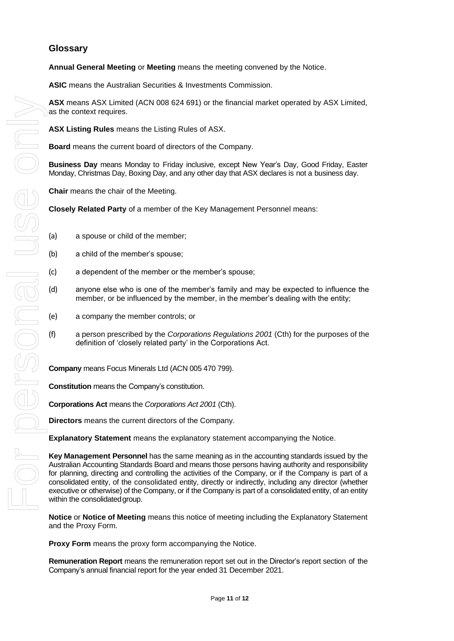#### **Glossary**

**Annual General Meeting** or **Meeting** means the meeting convened by the Notice.

**ASIC** means the Australian Securities & Investments Commission.

**ASX** means ASX Limited (ACN 008 624 691) or the financial market operated by ASX Limited, as the context requires.

**ASX Listing Rules** means the Listing Rules of ASX.

**Board** means the current board of directors of the Company.

**Business Day** means Monday to Friday inclusive, except New Year's Day, Good Friday, Easter Monday, Christmas Day, Boxing Day, and any other day that ASX declares is not a business day.

**Chair** means the chair of the Meeting.

**Closely Related Party** of a member of the Key Management Personnel means:

- (a) a spouse or child of the member;
- (b) a child of the member's spouse;
- (c) a dependent of the member or the member's spouse;
- (d) anyone else who is one of the member's family and may be expected to influence the member, or be influenced by the member, in the member's dealing with the entity;
- (e) a company the member controls; or
- (f) a person prescribed by the *Corporations Regulations 2001* (Cth) for the purposes of the definition of 'closely related party' in the Corporations Act.

**Company** means Focus Minerals Ltd (ACN 005 470 799).

**Constitution** means the Company's constitution.

**Corporations Act** means the *Corporations Act 2001* (Cth).

**Directors** means the current directors of the Company.

**Explanatory Statement** means the explanatory statement accompanying the Notice.

**Key Management Personnel** has the same meaning as in the accounting standards issued by the Australian Accounting Standards Board and means those persons having authority and responsibility for planning, directing and controlling the activities of the Company, or if the Company is part of a consolidated entity, of the consolidated entity, directly or indirectly, including any director (whether executive or otherwise) of the Company, or if the Company is part of a consolidated entity, of an entity within the consolidated group.

**Notice** or **Notice of Meeting** means this notice of meeting including the Explanatory Statement and the Proxy Form.

**Proxy Form** means the proxy form accompanying the Notice.

**Remuneration Report** means the remuneration report set out in the Director's report section of the Company's annual financial report for the year ended 31 December 2021.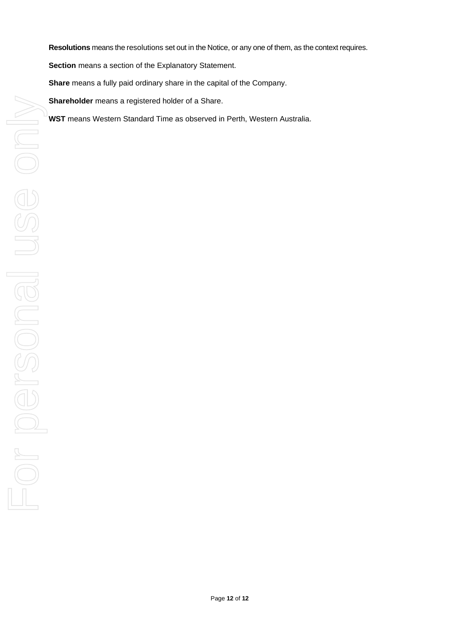**Resolutions** means the resolutions set out in the Notice, or any one of them, as the context requires.

**Section** means a section of the Explanatory Statement.

**Share** means a fully paid ordinary share in the capital of the Company.

**Shareholder** means a registered holder of a Share.

**WST** means Western Standard Time as observed in Perth, Western Australia.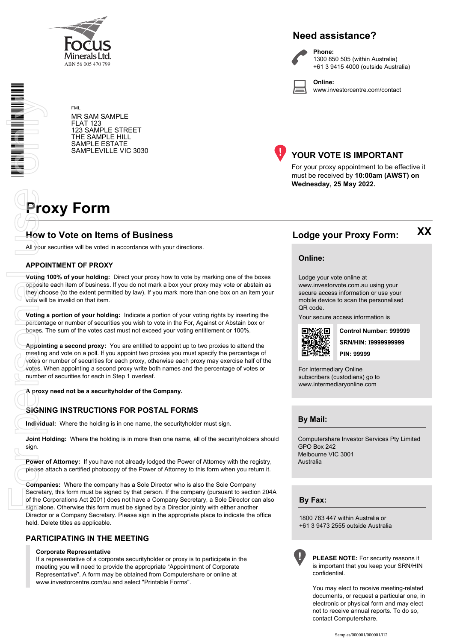

## **Need assistance?**

**Phone:**

1300 850 505 (within Australia) +61 3 9415 4000 (outside Australia)

**Online:** www.investorcentre.com/contact

FML MR SAM SAMPLE FLAT 123 123 SAMPLE STREET THE SAMPLE HILL SAMPLE ESTATE SAMPLEVILLE VIC 3030



#### **YOUR VOTE IS IMPORTANT**

For your proxy appointment to be effective it must be received by **10:00am (AWST) on Wednesday, 25 May 2022.**

# **Proxy Form**

# **How to Vote on Items of Business Lodge your Proxy Form:**

All your securities will be voted in accordance with your directions.

#### **APPOINTMENT OF PROXY**

**Voting 100% of your holding:** Direct your proxy how to vote by marking one of the boxes opposite each item of business. If you do not mark a box your proxy may vote or abstain as they choose (to the extent permitted by law). If you mark more than one box on an item your vote will be invalid on that item.

**Voting a portion of your holding:** Indicate a portion of your voting rights by inserting the percentage or number of securities you wish to vote in the For, Against or Abstain box or boxes. The sum of the votes cast must not exceed your voting entitlement or 100%.

**Appointing a second proxy:** You are entitled to appoint up to two proxies to attend the meeting and vote on a poll. If you appoint two proxies you must specify the percentage of votes or number of securities for each proxy, otherwise each proxy may exercise half of the votes. When appointing a second proxy write both names and the percentage of votes or number of securities for each in Step 1 overleaf. **Example 19**<br> **Example 2014**<br> **Example 19**<br> **Example 19**<br> **Example 19**<br> **Example 19**<br> **Example 19**<br> **Example 19**<br> **Example 19**<br> **Example 19**<br> **Example 19**<br> **Example 19**<br> **Example 19**<br> **Example 19**<br> **Example 19**<br> **Example 1** 

**A proxy need not be a securityholder of the Company.**

#### **SIGNING INSTRUCTIONS FOR POSTAL FORMS**

**Individual:** Where the holding is in one name, the securityholder must sign.

**Joint Holding:** Where the holding is in more than one name, all of the securityholders should sign.

**Power of Attorney:** If you have not already lodged the Power of Attorney with the registry, please attach a certified photocopy of the Power of Attorney to this form when you return it.

**Companies:** Where the company has a Sole Director who is also the Sole Company Secretary, this form must be signed by that person. If the company (pursuant to section 204A of the Corporations Act 2001) does not have a Company Secretary, a Sole Director can also sign alone. Otherwise this form must be signed by a Director jointly with either another Director or a Company Secretary. Please sign in the appropriate place to indicate the office held. Delete titles as applicable.

#### **PARTICIPATING IN THE MEETING**

#### **Corporate Representative**

If a representative of a corporate securityholder or proxy is to participate in the meeting you will need to provide the appropriate "Appointment of Corporate Representative". A form may be obtained from Computershare or online at www.investorcentre.com/au and select "Printable Forms".

**XX**

#### **Online:**

Lodge your vote online at www.investorvote.com.au using your secure access information or use your mobile device to scan the personalised QR code.

Your secure access information is



**SRN/HIN: I9999999999 Control Number: 999999 PIN: 99999**

For Intermediary Online subscribers (custodians) go to www.intermediaryonline.com

**By Mail:**

Computershare Investor Services Pty Limited GPO Box 242 Melbourne VIC 3001 Australia

**By Fax:**

1800 783 447 within Australia or +61 3 9473 2555 outside Australia



**PLEASE NOTE:** For security reasons it is important that you keep your SRN/HIN confidential.

You may elect to receive meeting-related documents, or request a particular one, in electronic or physical form and may elect not to receive annual reports. To do so, contact Computershare.